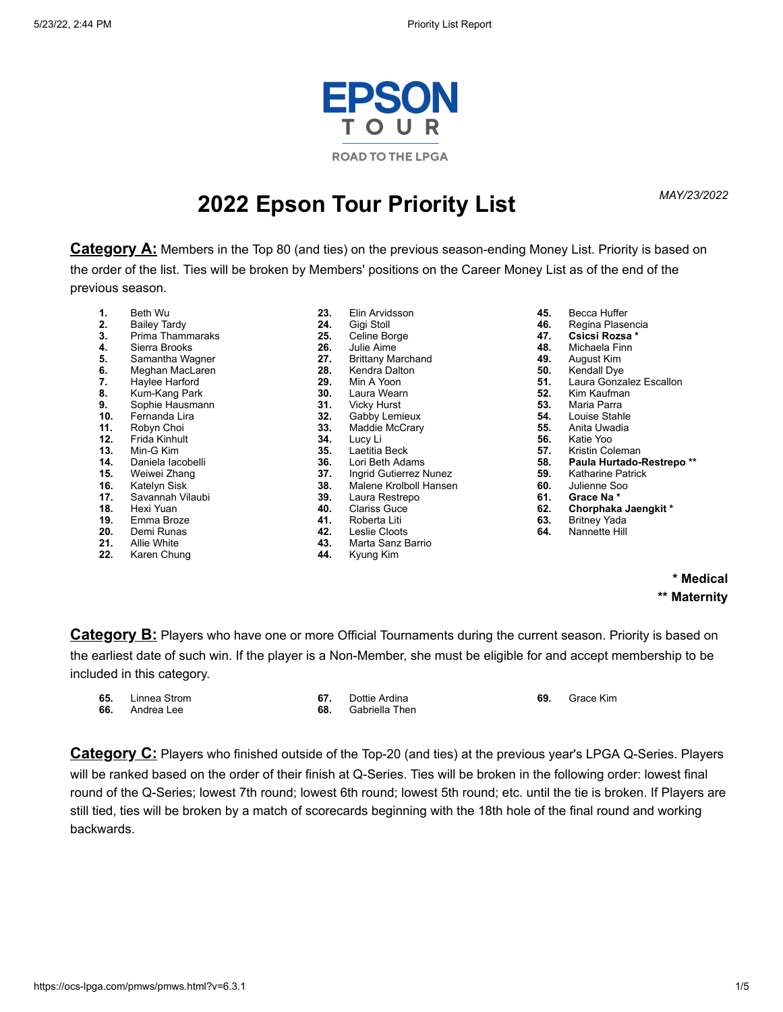

# *MAY/23/2022* **2022 Epson Tour Priority List**

**Category A:** Members in the Top 80 (and ties) on the previous season-ending Money List. Priority is based on the order of the list. Ties will be broken by Members' positions on the Career Money List as of the end of the previous season.

- **1.** Beth Wu<br>**2.** Bailey Ta
- **2.** Bailey Tardy
- **3.** Prima Thammaraks
- **4.** Sierra Brooks
- **5.** Samantha Wagner<br>**6.** Meghan MacLaren
- **6.** Meghan MacLaren<br>**7.** Haylee Harford
- **7.** Haylee Harford
- **8.** Kum-Kang Park
- **9.** Sophie Hausmann
- **10.** Fernanda Lira
- **11.** Robyn Choi
- **12.** Frida Kinhult
- **13.** Min-G Kim
- 14. Daniela lacobelli<br>15. Weiwei Zhang
- **15.** Weiwei Zhang
- 16. Katelyn Sisk<br>17. Savannah Vi
- **17.** Savannah Vilaubi
- **18.** Hexi Yuan
- **19.** Emma Broze
- **20.** Demi Runas
- **21.** Allie White
- **22.** Karen Chung
- **23.** Elin Arvidsson **24.** Gigi Stoll 25. Celine Borge<br>26. Julie Aime **26.** Julie Aime 27. Brittany Marchand<br>28. Kendra Dalton 28. Kendra Dalton<br>**29.** Min A Yoon **29.** Min A Yoon **30.** Laura Wearn **31.** Vicky Hurst<br>**32.** Gabby Lem **32.** Gabby Lemieux<br>**33.** Maddie McCrary **33.** Maddie McCrary **34.** Lucy Li **35.** Laetitia Beck **36.** Lori Beth Adams<br>**37.** Ingrid Gutierrez N **37.** Ingrid Gutierrez Nunez **38.** Malene Krolboll Hansen **39.** Laura Restrepo<br>**40.** Clariss Guce **40.** Clariss Guce **41.** Roberta Liti<br>**42.** Leslie Cloots
- **42.** Leslie Cloots
- **43.** Marta Sanz Barrio
	- **44.** Kyung Kim
- **45.** Becca Huffer
- **46.** Regina Plasencia
- **47. Csicsi Rozsa \***
- **48.** Michaela Finn
- **49.** August Kim
- **50.** Kendall Dye
- **51.** Laura Gonzalez Escallon<br>**52.** Kim Kaufman
- **52.** Kim Kaufman
- **53.** Maria Parra<br>**54.** Louise Stable
- **54.** Louise Stahle
- **55.** Anita Uwadia
- **56.** Katie Yoo
- **57.** Kristin Coleman
- **58. Paula Hurtado-Restrepo \*\***
- **59.** Katharine Patrick<br>**60.** Julienne Soo
- **60.** Julienne Soo **61. Grace Na \***
	-
- **62. Chorphaka Jaengkit \***
- **63.** Britney Yada **64.** Nannette Hill
- 

# **\* Medical \*\* Maternity**

**Category B:** Players who have one or more Official Tournaments during the current season. Priority is based on the earliest date of such win. If the player is a Non-Member, she must be eligible for and accept membership to be included in this category.

| 65. | Linnea Strom |  |
|-----|--------------|--|
| 66. | Andrea Lee   |  |

**67.** Dottie Ardina **68.** Gabriella Then **69.** Grace Kim

**Category C:** Players who finished outside of the Top-20 (and ties) at the previous year's LPGA Q-Series. Players will be ranked based on the order of their finish at Q-Series. Ties will be broken in the following order: lowest final round of the Q-Series; lowest 7th round; lowest 6th round; lowest 5th round; etc. until the tie is broken. If Players are still tied, ties will be broken by a match of scorecards beginning with the 18th hole of the final round and working backwards.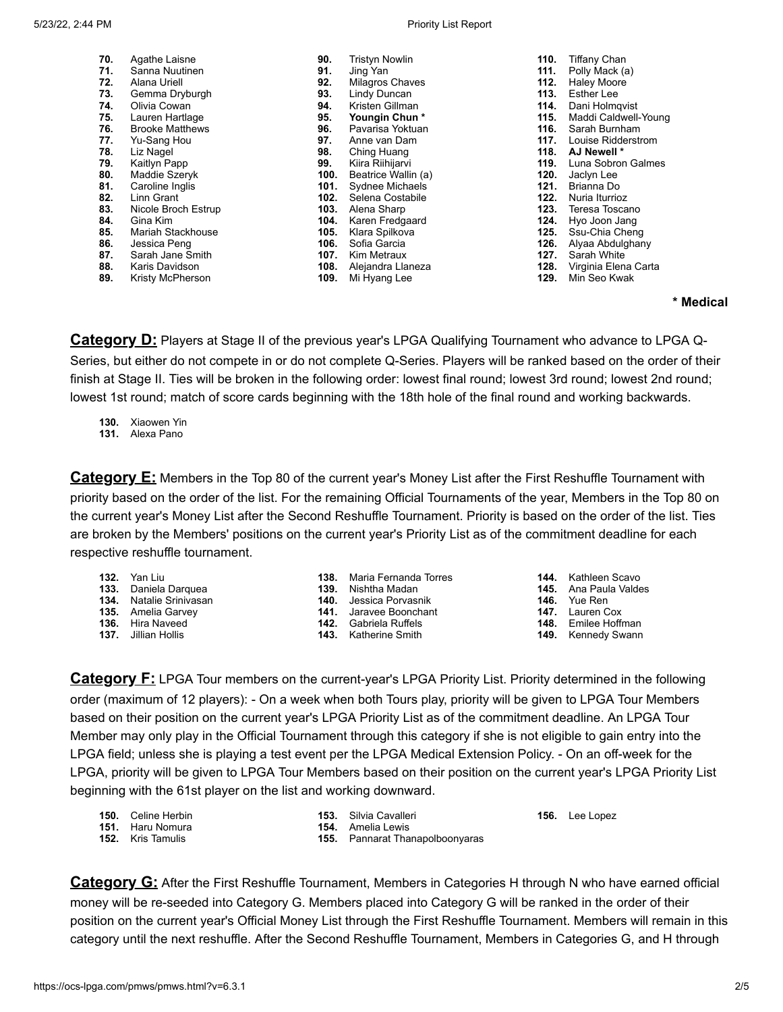#### 5/23/22, 2:44 PM Priority List Report

| 70. | Agathe Laisne          | 90.  | <b>Tristyn Nowlin</b> | 110. | <b>Tiffany Chan</b>  |
|-----|------------------------|------|-----------------------|------|----------------------|
| 71. | Sanna Nuutinen         | 91.  | Jing Yan              | 111. | Polly Mack (a)       |
| 72. | Alana Uriell           | 92.  | Milagros Chaves       | 112. | <b>Haley Moore</b>   |
| 73. | Gemma Dryburgh         | 93.  | Lindy Duncan          | 113. | Esther Lee           |
| 74. | Olivia Cowan           | 94.  | Kristen Gillman       | 114. | Dani Holmqvist       |
| 75. | Lauren Hartlage        | 95.  | Youngin Chun*         | 115. | Maddi Caldwell-Young |
| 76. | <b>Brooke Matthews</b> | 96.  | Pavarisa Yoktuan      | 116. | Sarah Burnham        |
| 77. | Yu-Sang Hou            | 97.  | Anne van Dam          | 117. | Louise Ridderstrom   |
| 78. | Liz Nagel              | 98.  | Ching Huang           | 118. | AJ Newell *          |
| 79. | Kaitlyn Papp           | 99.  | Kiira Riihijarvi      | 119. | Luna Sobron Galmes   |
| 80. | Maddie Szeryk          | 100. | Beatrice Wallin (a)   | 120. | Jaclyn Lee           |
| 81. | Caroline Inglis        | 101. | Sydnee Michaels       | 121. | Brianna Do           |
| 82. | Linn Grant             | 102. | Selena Costabile      | 122. | Nuria Iturrioz       |
| 83. | Nicole Broch Estrup    | 103. | Alena Sharp           | 123. | Teresa Toscano       |
| 84. | Gina Kim               | 104. | Karen Fredgaard       | 124. | Hyo Joon Jang        |
| 85. | Mariah Stackhouse      | 105. | Klara Spilkova        | 125. | Ssu-Chia Cheng       |
| 86. | Jessica Peng           | 106. | Sofia Garcia          | 126. | Alyaa Abdulghany     |
| 87. | Sarah Jane Smith       | 107. | Kim Metraux           | 127. | Sarah White          |
| 88. | Karis Davidson         | 108. | Alejandra Llaneza     | 128. | Virginia Elena Carta |
| 89. | Kristy McPherson       | 109. | Mi Hyang Lee          | 129. | Min Seo Kwak         |
|     |                        |      |                       |      |                      |

### **\* Medical**

**Category D:** Players at Stage II of the previous year's LPGA Qualifying Tournament who advance to LPGA Q-Series, but either do not compete in or do not complete Q-Series. Players will be ranked based on the order of their finish at Stage II. Ties will be broken in the following order: lowest final round; lowest 3rd round; lowest 2nd round; lowest 1st round; match of score cards beginning with the 18th hole of the final round and working backwards.

**130.** Xiaowen Yin

**131.** Alexa Pano

**Category E:** Members in the Top 80 of the current year's Money List after the First Reshuffle Tournament with priority based on the order of the list. For the remaining Official Tournaments of the year, Members in the Top 80 on the current year's Money List after the Second Reshuffle Tournament. Priority is based on the order of the list. Ties are broken by the Members' positions on the current year's Priority List as of the commitment deadline for each respective reshuffle tournament.

- **132.** Yan Liu
- **133.** Daniela Darquea
- **134.** Natalie Srinivasan
- **135.** Amelia Garvey
- **136.** Hira Naveed
- **137.** Jillian Hollis
- **138.** Maria Fernanda Torres
- **139.** Nishtha Madan
- **140.** Jessica Porvasnik
- **141.** Jaravee Boonchant
- **142.** Gabriela Ruffels
- **143.** Katherine Smith
- **144.** Kathleen Scavo
- **145.** Ana Paula Valdes
- **146.** Yue Ren
- **147.** Lauren Cox
- **148.** Emilee Hoffman
- **149.** Kennedy Swann

**Category F:** LPGA Tour members on the current-year's LPGA Priority List. Priority determined in the following order (maximum of 12 players): - On a week when both Tours play, priority will be given to LPGA Tour Members based on their position on the current year's LPGA Priority List as of the commitment deadline. An LPGA Tour Member may only play in the Official Tournament through this category if she is not eligible to gain entry into the LPGA field; unless she is playing a test event per the LPGA Medical Extension Policy. - On an off-week for the LPGA, priority will be given to LPGA Tour Members based on their position on the current year's LPGA Priority List beginning with the 61st player on the list and working downward.

| <b>150.</b> Celine Herbin | <b>153.</b> Silvia Cavalleri           | <b>156.</b> Lee Lopez |
|---------------------------|----------------------------------------|-----------------------|
| <b>151.</b> Haru Nomura   | <b>154.</b> Amelia Lewis               |                       |
| <b>152.</b> Kris Tamulis  | <b>155.</b> Pannarat Thanapolboonyaras |                       |

**Category G:** After the First Reshuffle Tournament, Members in Categories H through N who have earned official money will be re-seeded into Category G. Members placed into Category G will be ranked in the order of their position on the current year's Official Money List through the First Reshuffle Tournament. Members will remain in this category until the next reshuffle. After the Second Reshuffle Tournament, Members in Categories G, and H through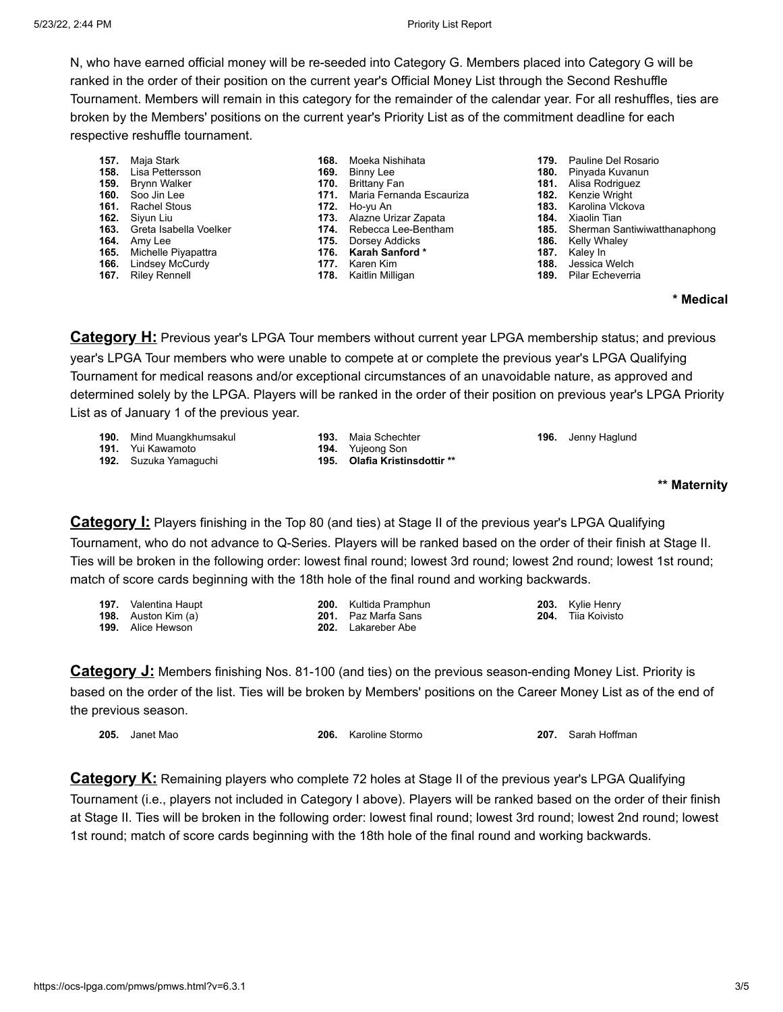N, who have earned official money will be re-seeded into Category G. Members placed into Category G will be ranked in the order of their position on the current year's Official Money List through the Second Reshuffle Tournament. Members will remain in this category for the remainder of the calendar year. For all reshuffles, ties are broken by the Members' positions on the current year's Priority List as of the commitment deadline for each respective reshuffle tournament.

- **157.** Maja Stark
- **158.** Lisa Pettersson
- **159.** Brynn Walker
- **160.** Soo Jin Lee **161.** Rachel Stous
- 
- **162.** Siyun Liu
- **163.** Greta Isabella Voelker
- **164.** Amy Lee **165.** Michelle Piyapattra
- 
- **166.** Lindsey McCurdy
- **167.** Riley Rennell
- **168.** Moeka Nishihata
- **169.** Binny Lee
- **170.** Brittany Fan
	- **171.** Maria Fernanda Escauriza
- **172.** Ho-yu An
- **173.** Alazne Urizar Zapata
	- **174.** Rebecca Lee-Bentham
- **175.** Dorsey Addicks **176. Karah Sanford \***
- 
- **177.** Karen Kim
- 
- **178.** Kaitlin Milligan
- **179.** Pauline Del Rosario
- **180.** Pinyada Kuvanun
- **181.** Alisa Rodriguez
- **182.** Kenzie Wright
- **183.** Karolina Vlckova
- **184.** Xiaolin Tian
- **185.** Sherman Santiwiwatthanaphong
- **186.** Kelly Whaley<br>**187.** Kaley In
- **187.** Kaley In **188.** Jessica Welch
- **189.** Pilar Echeverria

#### **\* Medical**

**Category H:** Previous year's LPGA Tour members without current year LPGA membership status; and previous year's LPGA Tour members who were unable to compete at or complete the previous year's LPGA Qualifying Tournament for medical reasons and/or exceptional circumstances of an unavoidable nature, as approved and determined solely by the LPGA. Players will be ranked in the order of their position on previous year's LPGA Priority List as of January 1 of the previous year.

- **190.** Mind Muangkhumsakul
- **191.** Yui Kawamoto
- **192.** Suzuka Yamaguchi
- **193.** Maia Schechter **194.** Yujeong Son **195. Olafia Kristinsdottir \*\***
- **196.** Jenny Haglund

#### **\*\* Maternity**

**Category I:** Players finishing in the Top 80 (and ties) at Stage II of the previous year's LPGA Qualifying Tournament, who do not advance to Q-Series. Players will be ranked based on the order of their finish at Stage II. Ties will be broken in the following order: lowest final round; lowest 3rd round; lowest 2nd round; lowest 1st round; match of score cards beginning with the 18th hole of the final round and working backwards.

| <b>197.</b> Valentina Haupt  | <b>200.</b> Kultida Pramphun | <b>203.</b> Kylie Henry   |
|------------------------------|------------------------------|---------------------------|
| <b>198.</b> Auston Kim $(a)$ | <b>201.</b> Paz Marfa Sans   | <b>204.</b> Tiia Koivisto |
| <b>199.</b> Alice Hewson     | <b>202.</b> Lakareber Abe    |                           |

**Category J:** Members finishing Nos. 81-100 (and ties) on the previous season-ending Money List. Priority is based on the order of the list. Ties will be broken by Members' positions on the Career Money List as of the end of the previous season.

**206.** Karoline Stormo **207.** Sarah Hoffman

**Category K:** Remaining players who complete 72 holes at Stage II of the previous year's LPGA Qualifying Tournament (i.e., players not included in Category I above). Players will be ranked based on the order of their finish at Stage II. Ties will be broken in the following order: lowest final round; lowest 3rd round; lowest 2nd round; lowest 1st round; match of score cards beginning with the 18th hole of the final round and working backwards.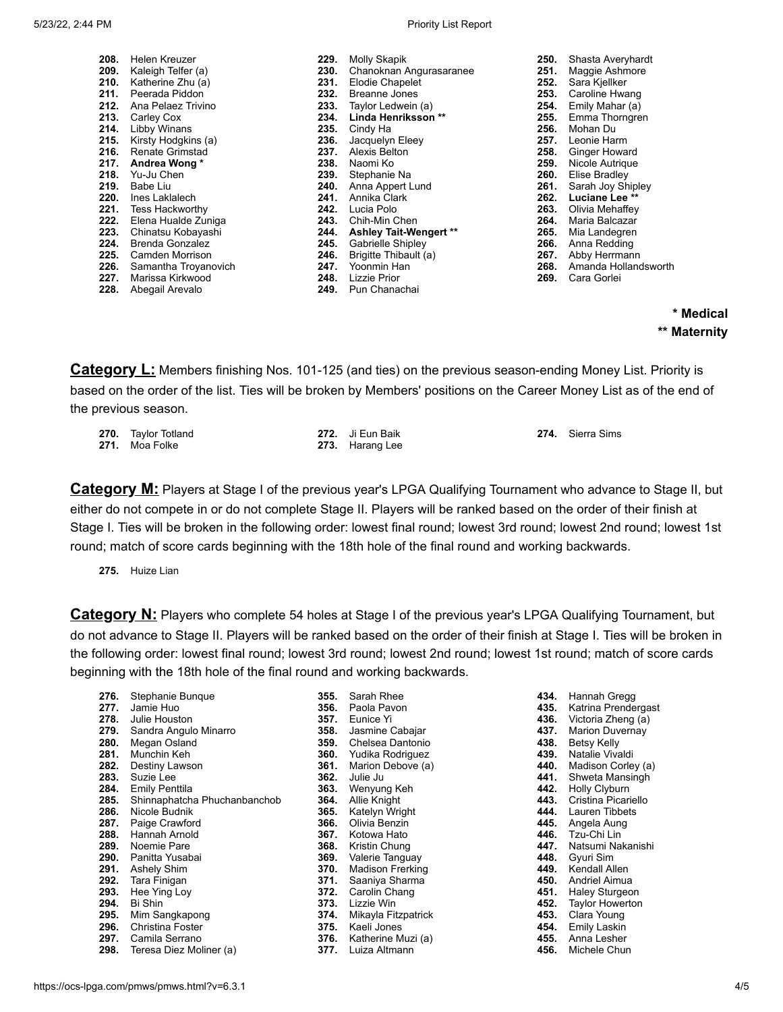| 229. | Molly Skapik              |
|------|---------------------------|
| 230. | Chanoknan Angurasaranee   |
| 231. | <b>Elodie Chapelet</b>    |
| 232. | <b>Breanne Jones</b>      |
|      | 233. Taylor Ledwein (a)   |
|      | 234. Linda Henriksson **  |
|      | 235. Cindy Ha             |
|      | 236. Jacquelyn Eleey      |
|      | 237. Alexis Belton        |
|      | 238. Naomi Ko             |
|      | 239. Stephanie Na         |
|      | 240. Anna Appert Lund     |
|      | 241. Annika Clark         |
|      | 242. Lucia Polo           |
|      | 243. Chih-Min Chen        |
| 244. | Ashley Tait-Wengert **    |
| 245. | Gabrielle Shipley         |
| 246. | Brigitte Thibault (a)     |
|      | 247. Yoonmin Han          |
|      | 248. Lizzie Prior         |
|      | <b>249.</b> Pun Chanachai |
|      |                           |

| 250.<br>251.<br>252.<br>253.<br>254.<br>255.<br>256.<br>257.<br>258.<br>259.<br>260.<br>261.<br>262.<br>263.<br>264. | Shasta Averyhardt<br>Maggie Ashmore<br>Sara Kjellker<br>Caroline Hwang<br>Emily Mahar (a)<br>Emma Thorngren<br>Mohan Du<br>Leonie Harm<br>Ginger Howard<br>Nicole Autrique<br>Elise Bradley<br>Sarah Joy Shipley<br>Luciane Lee **<br>Olivia Mehaffey<br>Maria Balcazar |
|----------------------------------------------------------------------------------------------------------------------|-------------------------------------------------------------------------------------------------------------------------------------------------------------------------------------------------------------------------------------------------------------------------|
|                                                                                                                      |                                                                                                                                                                                                                                                                         |
| 265.<br>266.                                                                                                         | Mia Landegren<br>Anna Redding                                                                                                                                                                                                                                           |
| 267.                                                                                                                 | Abby Herrmann                                                                                                                                                                                                                                                           |
| 268.                                                                                                                 | Amanda Hollandsworth                                                                                                                                                                                                                                                    |
| 269.                                                                                                                 | Cara Gorlei                                                                                                                                                                                                                                                             |

**\* Medical \*\* Maternity**

**Category L:** Members finishing Nos. 101-125 (and ties) on the previous season-ending Money List. Priority is based on the order of the list. Ties will be broken by Members' positions on the Career Money List as of the end of the previous season.

| 270. Taylor Totland | 272. Ji Eun Baik | 274. Sierra Sims |
|---------------------|------------------|------------------|
| 271. Moa Folke      | 273. Harang Lee  |                  |

**Category M:** Players at Stage I of the previous year's LPGA Qualifying Tournament who advance to Stage II, but either do not compete in or do not complete Stage II. Players will be ranked based on the order of their finish at Stage I. Ties will be broken in the following order: lowest final round; lowest 3rd round; lowest 2nd round; lowest 1st round; match of score cards beginning with the 18th hole of the final round and working backwards.

**275.** Huize Lian

**Category N:** Players who complete 54 holes at Stage I of the previous year's LPGA Qualifying Tournament, but do not advance to Stage II. Players will be ranked based on the order of their finish at Stage I. Ties will be broken in the following order: lowest final round; lowest 3rd round; lowest 2nd round; lowest 1st round; match of score cards beginning with the 18th hole of the final round and working backwards.

| 276. | Stephanie Bunque             |
|------|------------------------------|
| 277. | Jamie Huo                    |
|      | 278. Julie Houston           |
| 279. | Sandra Angulo Minarro        |
| 280. | Megan Osland                 |
| 281. | Munchin Keh                  |
|      | 282. Destiny Lawson          |
|      | 283. Suzie Lee               |
| 284. | Emily Penttila               |
| 285. | Shinnaphatcha Phuchanbanchob |
| 286. | Nicole Budnik                |
|      | 287. Paige Crawford          |
| 288. | Hannah Arnold                |
|      | 289. Noemie Pare             |
|      | 290. Panitta Yusabai         |
| 291. | <b>Ashely Shim</b>           |
| 292. | Tara Finigan                 |
|      | 293. Hee Ying Loy            |
|      | 294. Bi Shin                 |
| 295. | Mim Sangkapong               |
|      | 296. Christina Foster        |
|      | 297. Camila Serrano          |
|      | 298. Teresa Diez Moliner (a) |

| 355. | Sarah Rhee              |
|------|-------------------------|
| 356. | Paola Pavon             |
| 357. | Eunice Yi               |
| 358. | Jasmine Cabajar         |
| 359. | Chelsea Dantonio        |
| 360. | Yudika Rodriguez        |
| 361. | Marion Debove (a)       |
| 362. | Julie Ju                |
| 363. | Wenyung Keh             |
| 364. | Allie Knight            |
| 365. | Katelyn Wright          |
| 366. | Olivia Benzin           |
| 367. | Kotowa Hato             |
| 368. | Kristin Chung           |
| 369. | Valerie Tanguay         |
| 370. | <b>Madison Frerking</b> |
| 371. | Saaniya Sharma          |
| 372. | Carolin Chang           |
| 373. | Lizzie Win              |
| 374. | Mikayla Fitzpatrick     |
| 375. | Kaeli Jones             |
| 376. | Katherine Muzi (a)      |
| 377. | Luiza Altmann           |
|      |                         |

| 434. | Hannah Gregg           |
|------|------------------------|
| 435. | Katrina Prendergast    |
| 436. | Victoria Zheng (a)     |
| 437. | <b>Marion Duvernay</b> |
| 438. | Betsy Kelly            |
| 439. | Natalie Vivaldi        |
| 440. | Madison Corley (a)     |
| 441. | Shweta Mansingh        |
|      |                        |
| 442. | <b>Holly Clyburn</b>   |
| 443. | Cristina Picariello    |
| 444. | Lauren Tibbets         |
| 445. | Angela Aung            |
| 446. | Tzu-Chi Lin            |
| 447. | Natsumi Nakanishi      |
| 448. | Gyuri Sim              |
| 449. | Kendall Allen          |
| 450. | Andriel Aimua          |
| 451. | Haley Sturgeon         |
| 452. | <b>Taylor Howerton</b> |
| 453. | Clara Young            |
| 454. | Emily Laskin           |
|      |                        |
| 455. | Anna Lesher            |
| 456. | Michele Chun           |